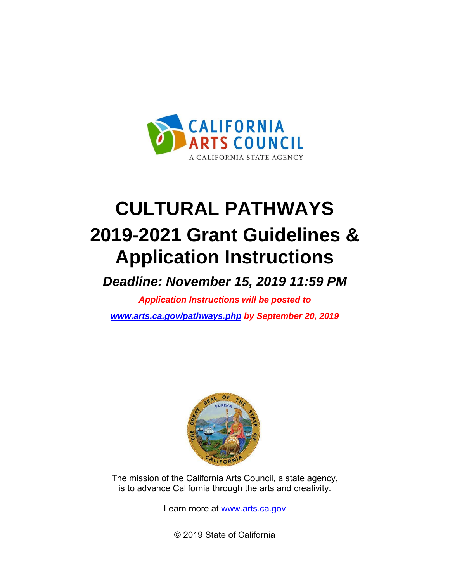

# **CULTURAL PATHWAYS 2019-2021 Grant Guidelines & Application Instructions**

*Deadline: November 15, 2019 11:59 PM*

*Application Instructions will be posted to [www.arts.ca.gov/pathways.php](http://www.arts.ca.gov/pathways.php) by September 20, 2019*



The mission of the California Arts Council, a state agency, is to advance California t[hrough the arts and](http://www.arts.ca.gov/) creativity.

Learn more at www.arts.ca.gov

© 2019 State of California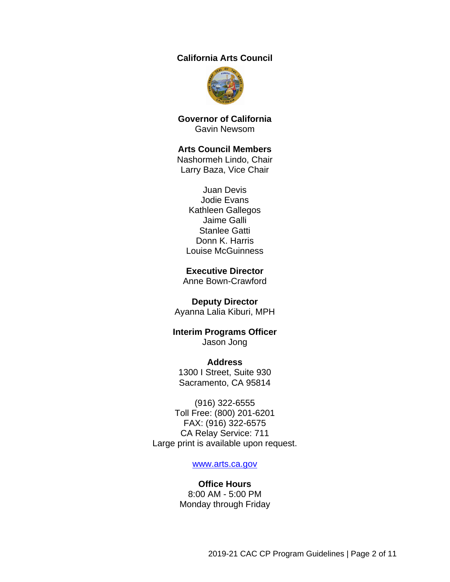#### **California Arts Council**



**Governor of California** Gavin Newsom

#### **Arts Council Members**

Nashormeh Lindo, Chair Larry Baza, Vice Chair

Juan Devis Jodie Evans Kathleen Gallegos Jaime Galli Stanlee Gatti Donn K. Harris Louise McGuinness

#### **Executive Director**

Anne Bown-Crawford

#### **Deputy Director**

Ayanna Lalia Kiburi, MPH

#### **Interim Programs Officer** Jason Jong

**Address** 1300 I Street, Suite 930 Sacramento, CA 95814

(916) 322-6555 Toll Free: (800) 201-6201 FAX: (916) 322-6575 CA Relay Service: 711 Large print is available upon request.

#### [www.arts.ca.gov](http://www.arts.ca.gov/)

#### **Office Hours** 8:00 AM - 5:00 PM Monday through Friday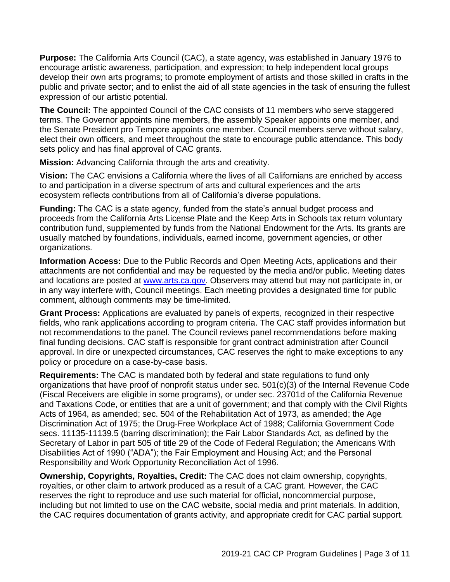**Purpose:** The California Arts Council (CAC), a state agency, was established in January 1976 to encourage artistic awareness, participation, and expression; to help independent local groups develop their own arts programs; to promote employment of artists and those skilled in crafts in the public and private sector; and to enlist the aid of all state agencies in the task of ensuring the fullest expression of our artistic potential.

**The Council:** The appointed Council of the CAC consists of 11 members who serve staggered terms. The Governor appoints nine members, the assembly Speaker appoints one member, and the Senate President pro Tempore appoints one member. Council members serve without salary, elect their own officers, and meet throughout the state to encourage public attendance. This body sets policy and has final approval of CAC grants.

**Mission:** Advancing California through the arts and creativity.

**Vision:** The CAC envisions a California where the lives of all Californians are enriched by access to and participation in a diverse spectrum of arts and cultural experiences and the arts ecosystem reflects contributions from all of California's diverse populations.

**Funding:** The CAC is a state agency, funded from the state's annual budget process and proceeds from the California Arts License Plate and the Keep Arts in Schools tax return voluntary contribution fund, supplemented by funds from the National Endowment for the Arts. Its grants are usually matched by foundations, individuals, earned income, government agencies, or other organizations.

**Information Access:** Due to the Public Records and Open Meeting Acts, applications and their attachments are not confidential and may be requested by the media and/or public. Meeting dates and locations are posted at [www.arts.ca.gov.](http://www.arts.ca.gov/) Observers may attend but may not participate in, or in any way interfere with, Council meetings. Each meeting provides a designated time for public comment, although comments may be time-limited.

**Grant Process:** Applications are evaluated by panels of experts, recognized in their respective fields, who rank applications according to program criteria. The CAC staff provides information but not recommendations to the panel. The Council reviews panel recommendations before making final funding decisions. CAC staff is responsible for grant contract administration after Council approval. In dire or unexpected circumstances, CAC reserves the right to make exceptions to any policy or procedure on a case-by-case basis.

<span id="page-2-0"></span>**Requirements:** The CAC is mandated both by federal and state regulations to fund only organizations that have proof of nonprofit status under sec. 501(c)(3) of the Internal Revenue Code (Fiscal Receivers are eligible in some programs), or under sec. 23701d of the California Revenue and Taxations Code, or entities that are a unit of government; and that comply with the Civil Rights Acts of 1964, as amended; sec. 504 of the Rehabilitation Act of 1973, as amended; the Age Discrimination Act of 1975; the Drug-Free Workplace Act of 1988; California Government Code secs. 11135-11139.5 (barring discrimination); the Fair Labor Standards Act, as defined by the Secretary of Labor in part 505 of title 29 of the Code of Federal Regulation; the Americans With Disabilities Act of 1990 ("ADA"); the Fair Employment and Housing Act; and the Personal Responsibility and Work Opportunity Reconciliation Act of 1996.

**Ownership, Copyrights, Royalties, Credit:** The CAC does not claim ownership, copyrights, royalties, or other claim to artwork produced as a result of a CAC grant. However, the CAC reserves the right to reproduce and use such material for official, noncommercial purpose, including but not limited to use on the CAC website, social media and print materials. In addition, the CAC requires documentation of grants activity, and appropriate credit for CAC partial support.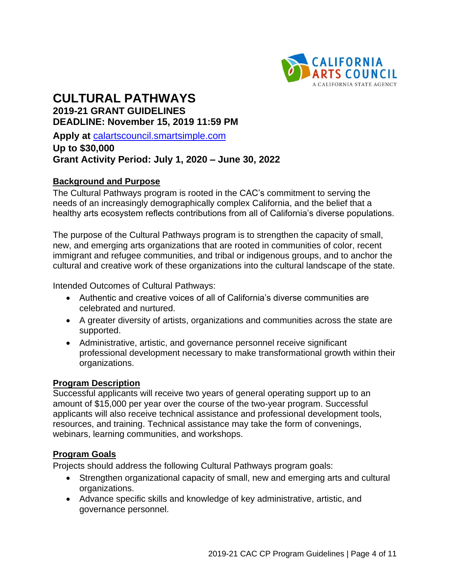

# **CULTURAL PATHWAYS 2019-21 GRANT GUIDELINES DEADLINE: November 15, 2019 11:59 PM**

**Apply at** [calartscouncil.smartsimple.com](https://calartscouncil.smartsimple.com/s_Login.jsp)

# **Up to \$30,000 Grant Activity Period: July 1, 2020 – June 30, 2022**

## **Background and Purpose**

The Cultural Pathways program is rooted in the CAC's commitment to serving the needs of an increasingly demographically complex California, and the belief that a healthy arts ecosystem reflects contributions from all of California's diverse populations.

The purpose of the Cultural Pathways program is to strengthen the capacity of small, new, and emerging arts organizations that are rooted in communities of color, recent immigrant and refugee communities, and tribal or indigenous groups, and to anchor the cultural and creative work of these organizations into the cultural landscape of the state.

Intended Outcomes of Cultural Pathways:

- Authentic and creative voices of all of California's diverse communities are celebrated and nurtured.
- A greater diversity of artists, organizations and communities across the state are supported.
- Administrative, artistic, and governance personnel receive significant professional development necessary to make transformational growth within their organizations.

#### **Program Description**

Successful applicants will receive two years of general operating support up to an amount of \$15,000 per year over the course of the two-year program. Successful applicants will also receive technical assistance and professional development tools, resources, and training. Technical assistance may take the form of convenings, webinars, learning communities, and workshops.

#### **Program Goals**

Projects should address the following Cultural Pathways program goals:

- Strengthen organizational capacity of small, new and emerging arts and cultural organizations.
- Advance specific skills and knowledge of key administrative, artistic, and governance personnel.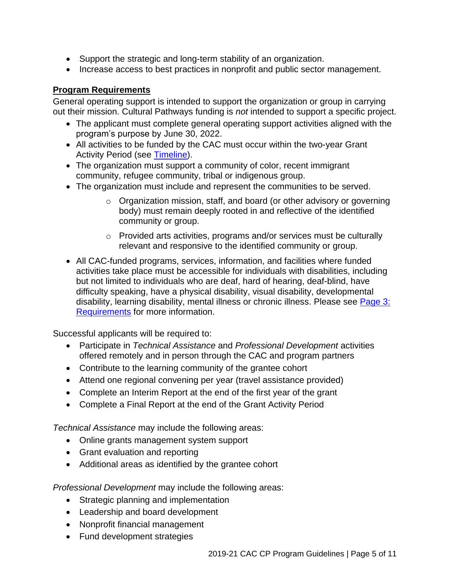- Support the strategic and long-term stability of an organization.
- Increase access to best practices in nonprofit and public sector management.

## **Program Requirements**

General operating support is intended to support the organization or group in carrying out their mission. Cultural Pathways funding is *not* intended to support a specific project.

- The applicant must complete general operating support activities aligned with the program's purpose by June 30, 2022.
- All activities to be funded by the CAC must occur within the two-year Grant Activity Period (see [Timeline\)](#page-8-0).
- The organization must support a community of color, recent immigrant community, refugee community, tribal or indigenous group.
- The organization must include and represent the communities to be served.
	- o Organization mission, staff, and board (or other advisory or governing body) must remain deeply rooted in and reflective of the identified community or group.
	- o Provided arts activities, programs and/or services must be culturally relevant and responsive to the identified community or group.
- All CAC-funded programs, services, information, and facilities where funded activities take place must be accessible for individuals with disabilities, including but not limited to individuals who are deaf, hard of hearing, deaf-blind, have difficulty speaking, have a physical disability, visual disability, developmental disability, learning disability, mental illness or chronic illness. Please see Page 3: [Requirements](#page-2-0) for more information.

Successful applicants will be required to:

- Participate in *Technical Assistance* and *Professional Development* activities offered remotely and in person through the CAC and program partners
- Contribute to the learning community of the grantee cohort
- Attend one regional convening per year (travel assistance provided)
- Complete an Interim Report at the end of the first year of the grant
- Complete a Final Report at the end of the Grant Activity Period

*Technical Assistance* may include the following areas:

- Online grants management system support
- Grant evaluation and reporting
- Additional areas as identified by the grantee cohort

*Professional Development* may include the following areas:

- Strategic planning and implementation
- Leadership and board development
- Nonprofit financial management
- Fund development strategies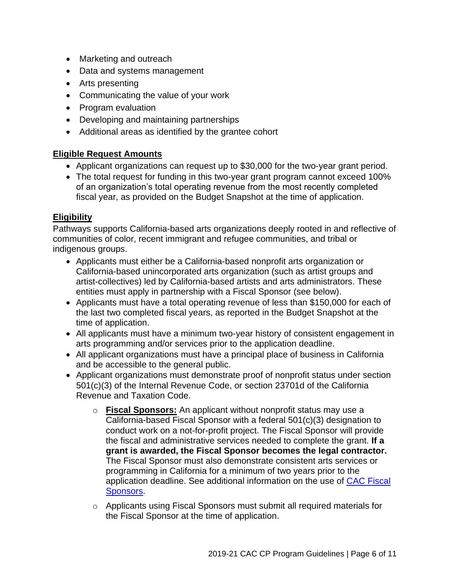- Marketing and outreach
- Data and systems management
- Arts presenting
- Communicating the value of your work
- Program evaluation
- Developing and maintaining partnerships
- Additional areas as identified by the grantee cohort

#### **Eligible Request Amounts**

- Applicant organizations can request up to \$30,000 for the two-year grant period.
- The total request for funding in this two-year grant program cannot exceed 100% of an organization's total operating revenue from the most recently completed fiscal year, as provided on the Budget Snapshot at the time of application.

#### **Eligibility**

Pathways supports California-based arts organizations deeply rooted in and reflective of communities of color, recent immigrant and refugee communities, and tribal or indigenous groups.

- Applicants must either be a California-based nonprofit arts organization or California-based unincorporated arts organization (such as artist groups and artist-collectives) led by California-based artists and arts administrators. These entities must apply in partnership with a Fiscal Sponsor (see below).
- Applicants must have a total operating revenue of less than \$150,000 for each of the last two completed fiscal years, as reported in the Budget Snapshot at the time of application.
- All applicants must have a minimum two-year history of consistent engagement in arts programming and/or services prior to the application deadline.
- All applicant organizations must have a principal place of business in California and be accessible to the general public.
- Applicant organizations must demonstrate proof of nonprofit status under section 501(c)(3) of the Internal Revenue Code, or section 23701d of the California Revenue and Taxation Code.
	- o **Fiscal Sponsors:** An applicant without nonprofit status may use a California-based Fiscal Sponsor with a federal 501(c)(3) designation to conduct work on a not-for-profit project. The Fiscal Sponsor will provide the fiscal and administrative services needed to complete the grant. **If a grant is awarded, the Fiscal Sponsor becomes the legal contractor.** The Fiscal Sponsor must also demonstrate consistent arts services or programming in California for a minimum of two years prior to the application deadline. See additional information on the use of [CAC Fiscal](http://arts.ca.gov/programs/program_files/shared_files/CAC%20Fiscal%20Sponsor%20Information.pdf)  [Sponsors.](http://arts.ca.gov/programs/program_files/shared_files/CAC%20Fiscal%20Sponsor%20Information.pdf)
	- $\circ$  Applicants using Fiscal Sponsors must submit all required materials for the Fiscal Sponsor at the time of application.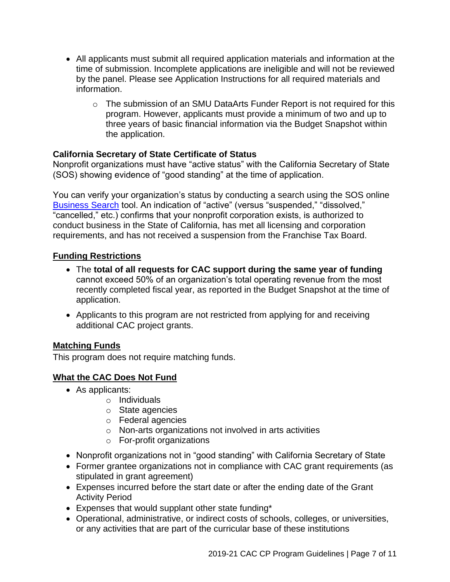- All applicants must submit all required application materials and information at the time of submission. Incomplete applications are ineligible and will not be reviewed by the panel. Please see Application Instructions for all required materials and information.
	- $\circ$  The submission of an SMU DataArts Funder Report is not required for this program. However, applicants must provide a minimum of two and up to three years of basic financial information via the Budget Snapshot within the application.

# **California Secretary of State Certificate of Status**

Nonprofit organizations must have "active status" with the California Secretary of State (SOS) showing evidence of "good standing" at the time of application.

You can verify your organization's status by conducting a search using the SOS online [Business Search](https://businesssearch.sos.ca.gov/) tool. An indication of "active" (versus "suspended," "dissolved," "cancelled," etc.) confirms that your nonprofit corporation exists, is authorized to conduct business in the State of California, has met all licensing and corporation requirements, and has not received a suspension from the Franchise Tax Board.

# **Funding Restrictions**

- The **total of all requests for CAC support during the same year of funding** cannot exceed 50% of an organization's total operating revenue from the most recently completed fiscal year, as reported in the Budget Snapshot at the time of application.
- Applicants to this program are not restricted from applying for and receiving additional CAC project grants.

# **Matching Funds**

This program does not require matching funds.

# **What the CAC Does Not Fund**

- As applicants:
	- o Individuals
	- o State agencies
	- o Federal agencies
	- o Non-arts organizations not involved in arts activities
	- o For-profit organizations
- Nonprofit organizations not in "good standing" with California Secretary of State
- Former grantee organizations not in compliance with CAC grant requirements (as stipulated in grant agreement)
- Expenses incurred before the start date or after the ending date of the Grant Activity Period
- Expenses that would supplant other state funding\*
- Operational, administrative, or indirect costs of schools, colleges, or universities, or any activities that are part of the curricular base of these institutions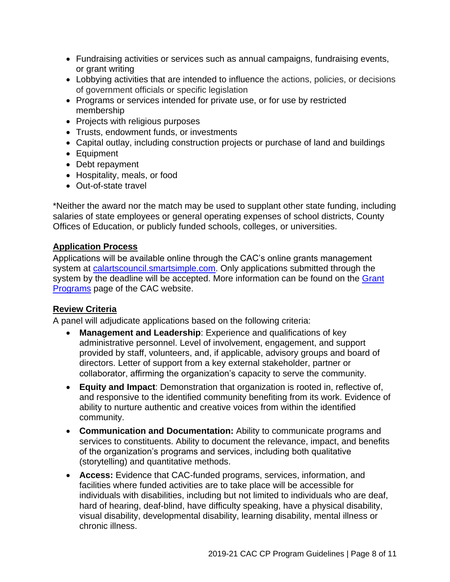- Fundraising activities or services such as annual campaigns, fundraising events, or grant writing
- Lobbying activities that are intended to influence the actions, policies, or decisions of government officials or specific legislation
- Programs or services intended for private use, or for use by restricted membership
- Projects with religious purposes
- Trusts, endowment funds, or investments
- Capital outlay, including construction projects or purchase of land and buildings
- Equipment
- Debt repayment
- Hospitality, meals, or food
- Out-of-state travel

\*Neither the award nor the match may be used to supplant other state funding, including salaries of state employees or general operating expenses of school districts, County Offices of Education, or publicly funded schools, colleges, or universities.

# **Application Process**

Applications will be available online through the CAC's online grants management system at [calartscouncil.smartsimple.com.](https://calartscouncil.smartsimple.com/s_Login.jsp) Only applications submitted through the system by the deadline will be accepted. More information can be found on the Grant [Programs](http://arts.ca.gov/programs/app.php) page of the CAC website.

# **Review Criteria**

A panel will adjudicate applications based on the following criteria:

- **Management and Leadership:** Experience and qualifications of key administrative personnel. Level of involvement, engagement, and support provided by staff, volunteers, and, if applicable, advisory groups and board of directors. Letter of support from a key external stakeholder, partner or collaborator, affirming the organization's capacity to serve the community.
- **Equity and Impact**: Demonstration that organization is rooted in, reflective of, and responsive to the identified community benefiting from its work. Evidence of ability to nurture authentic and creative voices from within the identified community.
- **Communication and Documentation:** Ability to communicate programs and services to constituents. Ability to document the relevance, impact, and benefits of the organization's programs and services, including both qualitative (storytelling) and quantitative methods.
- **Access:** Evidence that CAC-funded programs, services, information, and facilities where funded activities are to take place will be accessible for individuals with disabilities, including but not limited to individuals who are deaf, hard of hearing, deaf-blind, have difficulty speaking, have a physical disability, visual disability, developmental disability, learning disability, mental illness or chronic illness.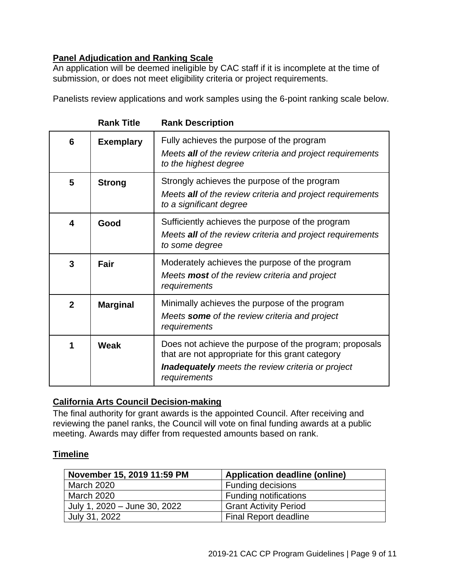# **Panel Adjudication and Ranking Scale**

An application will be deemed ineligible by CAC staff if it is incomplete at the time of submission, or does not meet eligibility criteria or project requirements.

Panelists review applications and work samples using the 6-point ranking scale below.

|                | <b>Rank Title</b> | <b>Rank Description</b>                                                                                                                                                                |
|----------------|-------------------|----------------------------------------------------------------------------------------------------------------------------------------------------------------------------------------|
| 6              | <b>Exemplary</b>  | Fully achieves the purpose of the program<br>Meets all of the review criteria and project requirements<br>to the highest degree                                                        |
| 5              | <b>Strong</b>     | Strongly achieves the purpose of the program<br>Meets all of the review criteria and project requirements<br>to a significant degree                                                   |
| 4              | Good              | Sufficiently achieves the purpose of the program<br>Meets all of the review criteria and project requirements<br>to some degree                                                        |
| 3              | Fair              | Moderately achieves the purpose of the program<br>Meets <b>most</b> of the review criteria and project<br>requirements                                                                 |
| $\overline{2}$ | <b>Marginal</b>   | Minimally achieves the purpose of the program<br>Meets some of the review criteria and project<br>requirements                                                                         |
| 1              | Weak              | Does not achieve the purpose of the program; proposals<br>that are not appropriate for this grant category<br><b>Inadequately</b> meets the review criteria or project<br>requirements |

# **California Arts Council Decision-making**

The final authority for grant awards is the appointed Council. After receiving and reviewing the panel ranks, the Council will vote on final funding awards at a public meeting. Awards may differ from requested amounts based on rank.

# <span id="page-8-0"></span>**Timeline**

| November 15, 2019 11:59 PM   | <b>Application deadline (online)</b> |
|------------------------------|--------------------------------------|
| <b>March 2020</b>            | <b>Funding decisions</b>             |
| March 2020                   | <b>Funding notifications</b>         |
| July 1, 2020 - June 30, 2022 | <b>Grant Activity Period</b>         |
| July 31, 2022                | <b>Final Report deadline</b>         |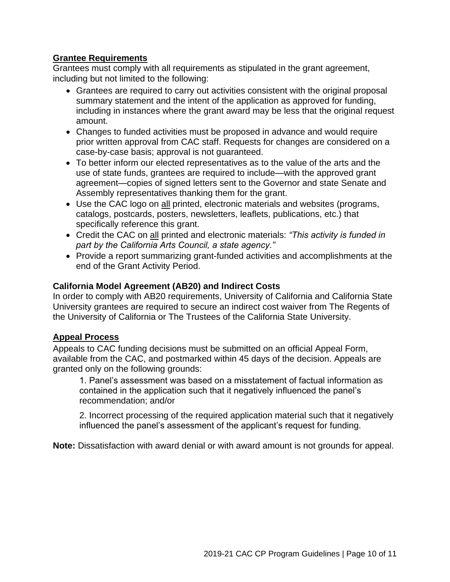### **Grantee Requirements**

Grantees must comply with all requirements as stipulated in the grant agreement, including but not limited to the following:

- Grantees are required to carry out activities consistent with the original proposal summary statement and the intent of the application as approved for funding, including in instances where the grant award may be less that the original request amount.
- Changes to funded activities must be proposed in advance and would require prior written approval from CAC staff. Requests for changes are considered on a case-by-case basis; approval is not guaranteed.
- To better inform our elected representatives as to the value of the arts and the use of state funds, grantees are required to include—with the approved grant agreement—copies of signed letters sent to the Governor and state Senate and Assembly representatives thanking them for the grant.
- Use the CAC logo on all printed, electronic materials and websites (programs, catalogs, postcards, posters, newsletters, leaflets, publications, etc.) that specifically reference this grant.
- Credit the CAC on all printed and electronic materials: *"This activity is funded in part by the California Arts Council, a state agency."*
- Provide a report summarizing grant-funded activities and accomplishments at the end of the Grant Activity Period.

## **California Model Agreement (AB20) and Indirect Costs**

In order to comply with AB20 requirements, University of California and California State University grantees are required to secure an indirect cost waiver from The Regents of the University of California or The Trustees of the California State University.

#### **Appeal Process**

Appeals to CAC funding decisions must be submitted on an official Appeal Form, available from the CAC, and postmarked within 45 days of the decision. Appeals are granted only on the following grounds:

1. Panel's assessment was based on a misstatement of factual information as contained in the application such that it negatively influenced the panel's recommendation; and/or

2. Incorrect processing of the required application material such that it negatively influenced the panel's assessment of the applicant's request for funding.

**Note:** Dissatisfaction with award denial or with award amount is not grounds for appeal.